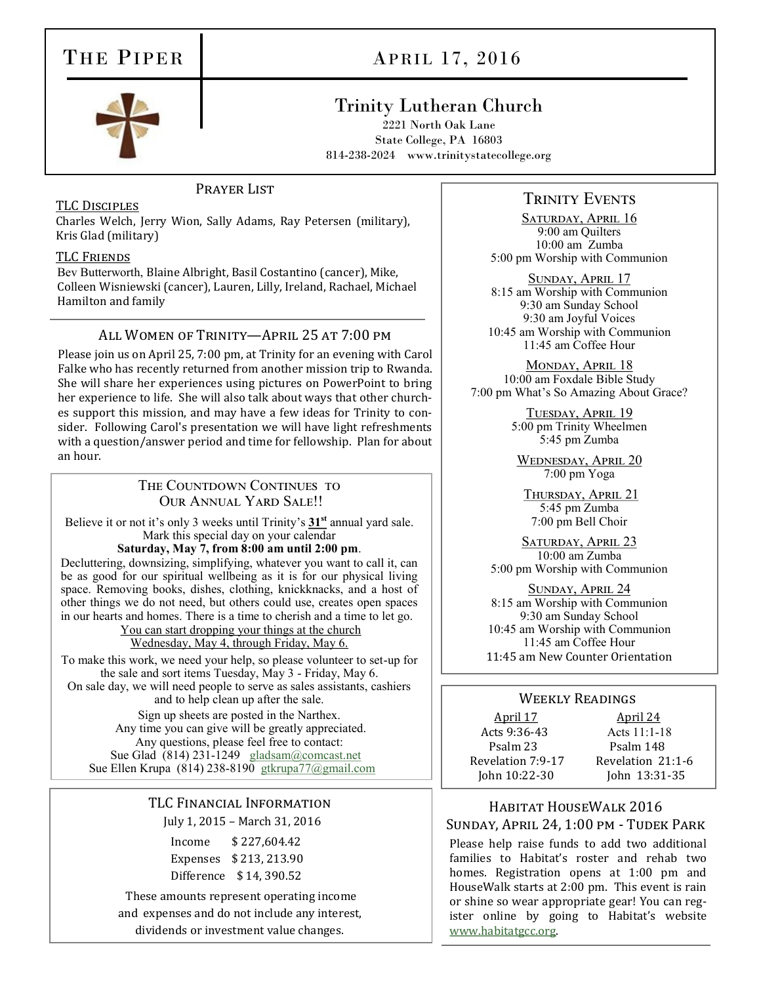# THE PIPER

# APRIL 17, 2016



# Trinity Lutheran Church

2221 North Oak Lane State College, PA 16803 814-238-2024 www.trinitystatecollege.org

## PRAYER LIST

### TLC Disciples

Charles Welch, Jerry Wion, Sally Adams, Ray Petersen (military), Kris Glad (military)

### TLC Friends

Bev Butterworth, Blaine Albright, Basil Costantino (cancer), Mike, Colleen Wisniewski (cancer), Lauren, Lilly, Ireland, Rachael, Michael Hamilton and family

### All Women of Trinity—April 25 at 7:00 pm

Please join us on April 25, 7:00 pm, at Trinity for an evening with Carol Falke who has recently returned from another mission trip to Rwanda. She will share her experiences using pictures on PowerPoint to bring her experience to life. She will also talk about ways that other churches support this mission, and may have a few ideas for Trinity to consider. Following Carol's presentation we will have light refreshments with a question/answer period and time for fellowship. Plan for about an hour.

## THE COUNTDOWN CONTINUES TO Our Annual Yard Sale!!

Believe it or not it's only 3 weeks until Trinity's **31st** annual yard sale. Mark this special day on your calendar

### **Saturday, May 7, from 8:00 am until 2:00 pm**.

Decluttering, downsizing, simplifying, whatever you want to call it, can be as good for our spiritual wellbeing as it is for our physical living space. Removing books, dishes, clothing, knickknacks, and a host of other things we do not need, but others could use, creates open spaces in our hearts and homes. There is a time to cherish and a time to let go.

You can start dropping your things at the church Wednesday, May 4, through Friday, May 6.

To make this work, we need your help, so please volunteer to set-up for the sale and sort items Tuesday, May 3 - Friday, May 6. On sale day, we will need people to serve as sales assistants, cashiers and to help clean up after the sale.

Sign up sheets are posted in the Narthex. Any time you can give will be greatly appreciated. Any questions, please feel free to contact: Sue Glad (814) 231-1249 [gladsam@comcast.net](mailto:gladsam@comcast.net) Sue Ellen Krupa  $(814)$  238-8190 [gtkrupa77@gmail.com](mailto:gtkrupa77@verizon.net)

## TLC Financial Information July 1, 2015 – March 31, 2016

Income \$ 227,604.42 Expenses \$ 213, 213.90 Difference \$ 14, 390.52

These amounts represent operating income and expenses and do not include any interest, dividends or investment value changes.

# **TRINITY EVENTS**

SATURDAY, APRIL 16 9:00 am Quilters 10:00 am Zumba 5:00 pm Worship with Communion

Sunday, April 17 8:15 am Worship with Communion 9:30 am Sunday School 9:30 am Joyful Voices 10:45 am Worship with Communion 11:45 am Coffee Hour

MONDAY, APRIL 18 10:00 am Foxdale Bible Study 7:00 pm What's So Amazing About Grace?

> TUESDAY, APRIL 19 5:00 pm Trinity Wheelmen 5:45 pm Zumba

WEDNESDAY, APRIL 20 7:00 pm Yoga

Thursday, April 21 5:45 pm Zumba 7:00 pm Bell Choir

SATURDAY, APRIL 23 10:00 am Zumba 5:00 pm Worship with Communion

Sunday, April 24 8:15 am Worship with Communion 9:30 am Sunday School 10:45 am Worship with Communion 11:45 am Coffee Hour 11:45 am New Counter Orientation

#### Weekly Readings

# April 17 April 24 Acts 9:36-43 [Acts 11:1](https://members.sundaysandseasons.com/Home/Index/2016-4-24/0#)-18 Psalm 23 Psalm 148 John 10:22-30 John 13:31-35

Revelation 7:9-17 Revelation 21:1-6

## Habitat HouseWalk 2016 Sunday, April 24, 1:00 pm - Tudek Park

Please help raise funds to add two additional families to Habitat's roster and rehab two homes. Registration opens at 1:00 pm and HouseWalk starts at 2:00 pm. This event is rain or shine so wear appropriate gear! You can register online by going to Habitat's website [www.habitatgcc.org.](http://www.habitatgcc.org)